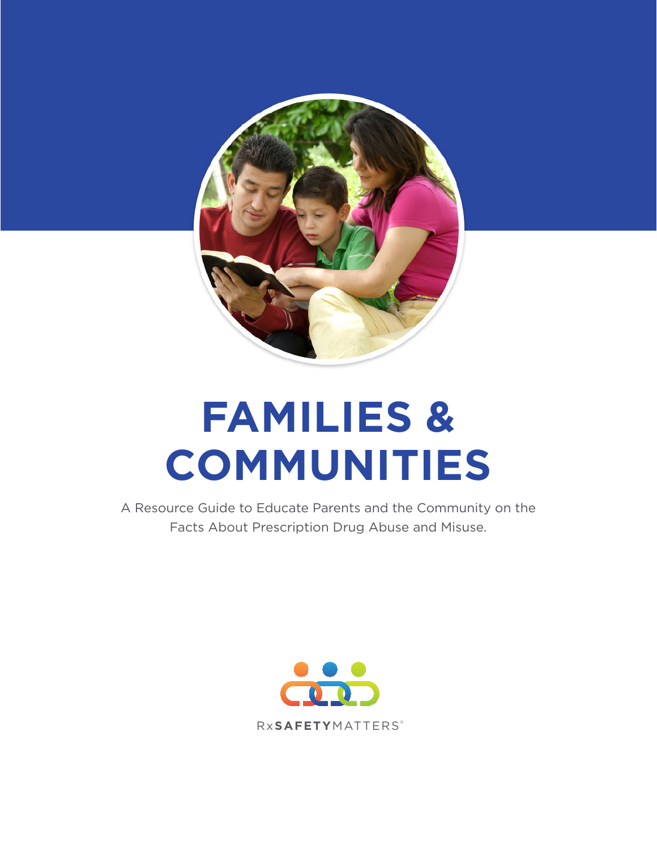

# **FAMILIES & COMMUNITIES**

A Resource Guide to Educate Parents and the Community on the Facts About Prescription Drug Abuse and Misuse.

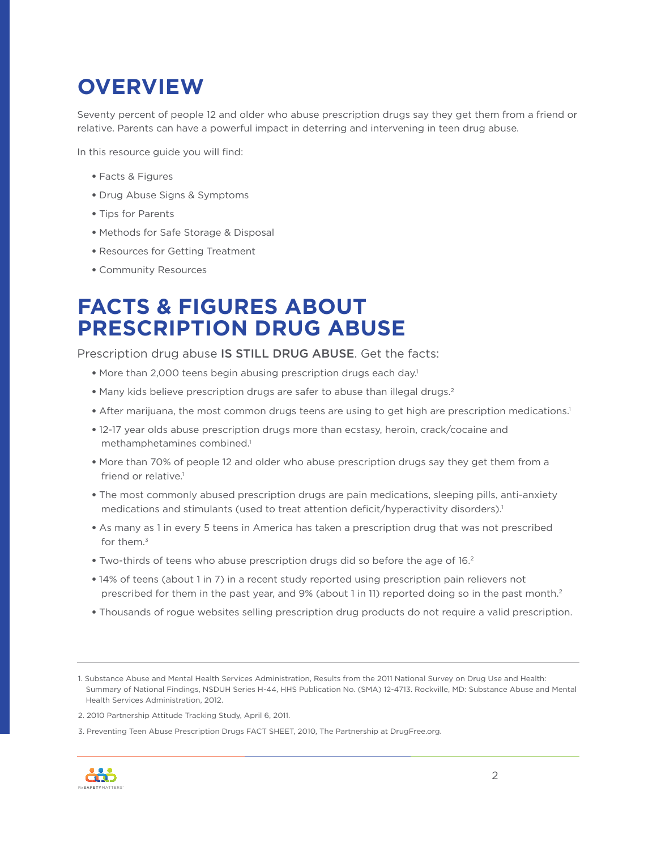## **OVERVIEW**

Seventy percent of people 12 and older who abuse prescription drugs say they get them from a friend or relative. Parents can have a powerful impact in deterring and intervening in teen drug abuse.

In this resource guide you will find:

- Facts & Figures
- Drug Abuse Signs & Symptoms
- Tips for Parents
- Methods for Safe Storage & Disposal
- Resources for Getting Treatment
- Community Resources

### **FACTS & FIGURES ABOUT PRESCRIPTION DRUG ABUSE**

Prescription drug abuse IS STILL DRUG ABUSE. Get the facts:

- More than 2,000 teens begin abusing prescription drugs each day.<sup>1</sup>
- Many kids believe prescription drugs are safer to abuse than illegal drugs.2
- After marijuana, the most common drugs teens are using to get high are prescription medications.<sup>1</sup>
- 12-17 year olds abuse prescription drugs more than ecstasy, heroin, crack/cocaine and methamphetamines combined.<sup>1</sup>
- More than 70% of people 12 and older who abuse prescription drugs say they get them from a friend or relative.<sup>1</sup>
- The most commonly abused prescription drugs are pain medications, sleeping pills, anti-anxiety medications and stimulants (used to treat attention deficit/hyperactivity disorders).<sup>1</sup>
- As many as 1 in every 5 teens in America has taken a prescription drug that was not prescribed for them.3
- Two-thirds of teens who abuse prescription drugs did so before the age of 16.2
- 14% of teens (about 1 in 7) in a recent study reported using prescription pain relievers not prescribed for them in the past year, and 9% (about 1 in 11) reported doing so in the past month.<sup>2</sup>
- Thousands of rogue websites selling prescription drug products do not require a valid prescription.

<sup>3.</sup> Preventing Teen Abuse Prescription Drugs FACT SHEET, 2010, The Partnership at DrugFree.org.



<sup>1.</sup> Substance Abuse and Mental Health Services Administration, Results from the 2011 National Survey on Drug Use and Health: Summary of National Findings, NSDUH Series H-44, HHS Publication No. (SMA) 12-4713. Rockville, MD: Substance Abuse and Mental Health Services Administration, 2012.

<sup>2. 2010</sup> Partnership Attitude Tracking Study, April 6, 2011.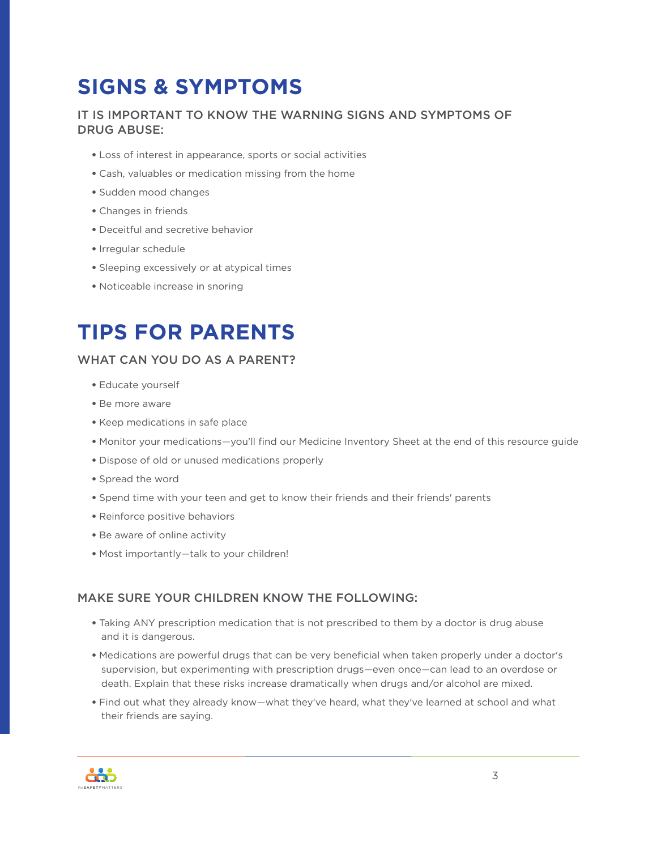### **SIGNS & SYMPTOMS**

#### IT IS IMPORTANT TO KNOW THE WARNING SIGNS AND SYMPTOMS OF DRUG ABUSE:

- Loss of interest in appearance, sports or social activities
- Cash, valuables or medication missing from the home
- Sudden mood changes
- Changes in friends
- Deceitful and secretive behavior
- Irregular schedule
- Sleeping excessively or at atypical times
- Noticeable increase in snoring

### **TIPS FOR PARENTS**

#### WHAT CAN YOU DO AS A PARENT?

- Educate yourself
- Be more aware
- Keep medications in safe place
- Monitor your medications*—*you'll find our Medicine Inventory Sheet at the end of this resource guide
- Dispose of old or unused medications properly
- Spread the word
- Spend time with your teen and get to know their friends and their friends' parents
- Reinforce positive behaviors
- Be aware of online activity
- Most importantly*—*talk to your children!

#### MAKE SURE YOUR CHILDREN KNOW THE FOLLOWING:

- Taking ANY prescription medication that is not prescribed to them by a doctor is drug abuse and it is dangerous.
- Medications are powerful drugs that can be very beneficial when taken properly under a doctor's supervision, but experimenting with prescription drugs*—*even once*—*can lead to an overdose or death. Explain that these risks increase dramatically when drugs and/or alcohol are mixed.
- Find out what they already know*—*what they've heard, what they've learned at school and what their friends are saying.

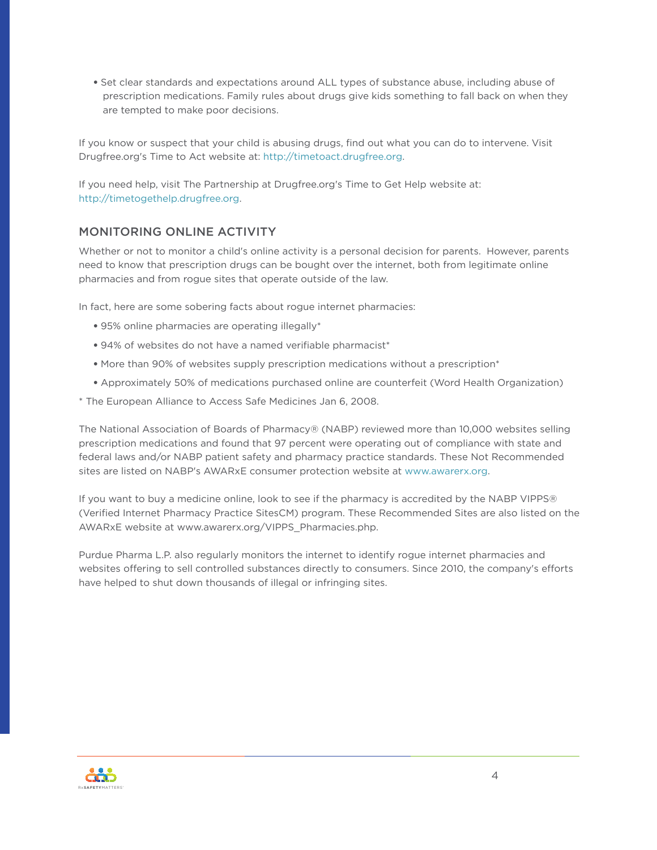• Set clear standards and expectations around ALL types of substance abuse, including abuse of prescription medications. Family rules about drugs give kids something to fall back on when they are tempted to make poor decisions.

If you know or suspect that your child is abusing drugs, find out what you can do to intervene. Visit Drugfree.org's Time to Act website at:<http://timetoact.drugfree.org>.

If you need help, visit The Partnership at Drugfree.org's Time to Get Help website at: <http://timetogethelp.drugfree.org>.

#### MONITORING ONLINE ACTIVITY

Whether or not to monitor a child's online activity is a personal decision for parents. However, parents need to know that prescription drugs can be bought over the internet, both from legitimate online pharmacies and from rogue sites that operate outside of the law.

In fact, here are some sobering facts about rogue internet pharmacies:

- 95% online pharmacies are operating illegally\*
- 94% of websites do not have a named verifiable pharmacist\*
- More than 90% of websites supply prescription medications without a prescription\*
- Approximately 50% of medications purchased online are counterfeit (Word Health Organization)
- \* The European Alliance to Access Safe Medicines Jan 6, 2008.

The National Association of Boards of Pharmacy® (NABP) reviewed more than 10,000 websites selling prescription medications and found that 97 percent were operating out of compliance with state and federal laws and/or NABP patient safety and pharmacy practice standards. These Not Recommended sites are listed on NABP's AWARxE consumer protection website at [www.awarerx.org.](www.awarerx.org)

If you want to buy a medicine online, look to see if the pharmacy is accredited by the NABP VIPPS® (Verified Internet Pharmacy Practice SitesCM) program. These Recommended Sites are also listed on the AWARxE website at www.awarerx.org/VIPPS\_Pharmacies.php.

Purdue Pharma L.P. also regularly monitors the internet to identify rogue internet pharmacies and websites offering to sell controlled substances directly to consumers. Since 2010, the company's efforts have helped to shut down thousands of illegal or infringing sites.

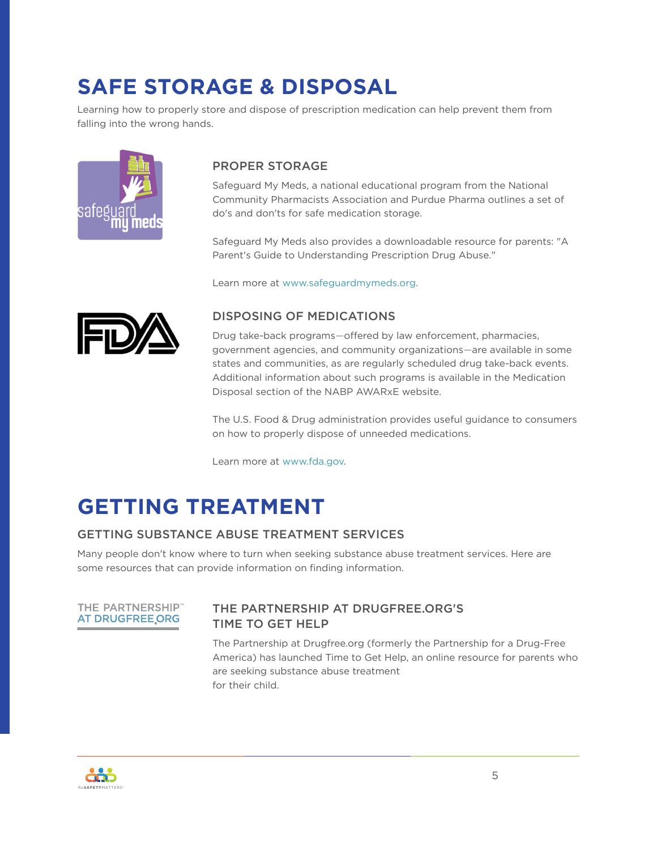### **SAFE STORAGE & DISPOSAL**

Learning how to properly store and dispose of prescription medication can help prevent them from falling into the wrong hands.



#### PROPER STORAGE

Safeguard My Meds, a national educational program from the National Community Pharmacists Association and Purdue Pharma outlines a set of do's and don'ts for safe medication storage.

Safeguard My Meds also provides a downloadable resource for parents: "A Parent's Guide to Understanding Prescription Drug Abuse."

Learn more at [www.safeguardmymeds.org.](www.safeguardmymeds.org)



#### DISPOSING OF MEDICATIONS

Drug take-back programs*—*offered by law enforcement, pharmacies, government agencies, and community organizations*—*are available in some states and communities, as are regularly scheduled drug take-back events. Additional information about such programs is available in the Medication Disposal section of the NABP AWARxE website.

The U.S. Food & Drug administration provides useful guidance to consumers on how to properly dispose of unneeded medications.

Learn more at<www.fda.gov>.

# **GETTING TREATMENT**

#### GETTING SUBSTANCE ABUSE TREATMENT SERVICES

Many people don't know where to turn when seeking substance abuse treatment services. Here are some resources that can provide information on finding information.



#### THE PARTNERSHIP AT DRUGFREE.ORG'S TIME TO GET HELP

The Partnership at Drugfree.org (formerly the Partnership for a Drug-Free America) has launched Time to Get Help, an online resource for parents who are seeking substance abuse treatment for their child.

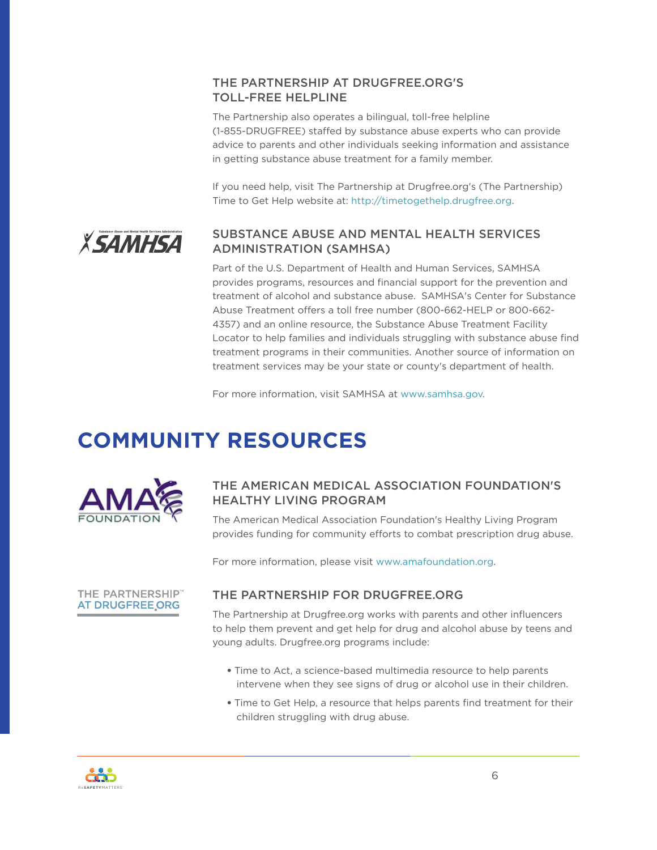#### THE PARTNERSHIP AT DRUGFREE.ORG'S TOLL-FREE HELPLINE

The Partnership also operates a bilingual, toll-free helpline (1-855-DRUGFREE) staffed by substance abuse experts who can provide advice to parents and other individuals seeking information and assistance in getting substance abuse treatment for a family member.

If you need help, visit The Partnership at Drugfree.org's (The Partnership) Time to Get Help website at:<http://timetogethelp.drugfree.org>.

#### SUBSTANCE ABUSE AND MENTAL HEALTH SERVICES *XSAMHSA* ADMINISTRATION (SAMHSA)

Part of the U.S. Department of Health and Human Services, SAMHSA provides programs, resources and financial support for the prevention and treatment of alcohol and substance abuse. SAMHSA's Center for Substance Abuse Treatment offers a toll free number (800-662-HELP or 800-662- 4357) and an online resource, the Substance Abuse Treatment Facility Locator to help families and individuals struggling with substance abuse find treatment programs in their communities. Another source of information on treatment services may be your state or county's department of health.

For more information, visit SAMHSA at [www.samhsa.gov.](www.samhsa.gov)

### **COMMUNITY RESOURCES**



#### THE AMERICAN MEDICAL ASSOCIATION FOUNDATION'S HEALTHY LIVING PROGRAM

The American Medical Association Foundation's Healthy Living Program provides funding for community efforts to combat prescription drug abuse.

For more information, please visit <www.amafoundation.org>.



#### THE PARTNERSHIP FOR DRUGFREE.ORG

The Partnership at Drugfree.org works with parents and other influencers to help them prevent and get help for drug and alcohol abuse by teens and young adults. Drugfree.org programs include:

- Time to Act, a science-based multimedia resource to help parents intervene when they see signs of drug or alcohol use in their children.
- Time to Get Help, a resource that helps parents find treatment for their children struggling with drug abuse.

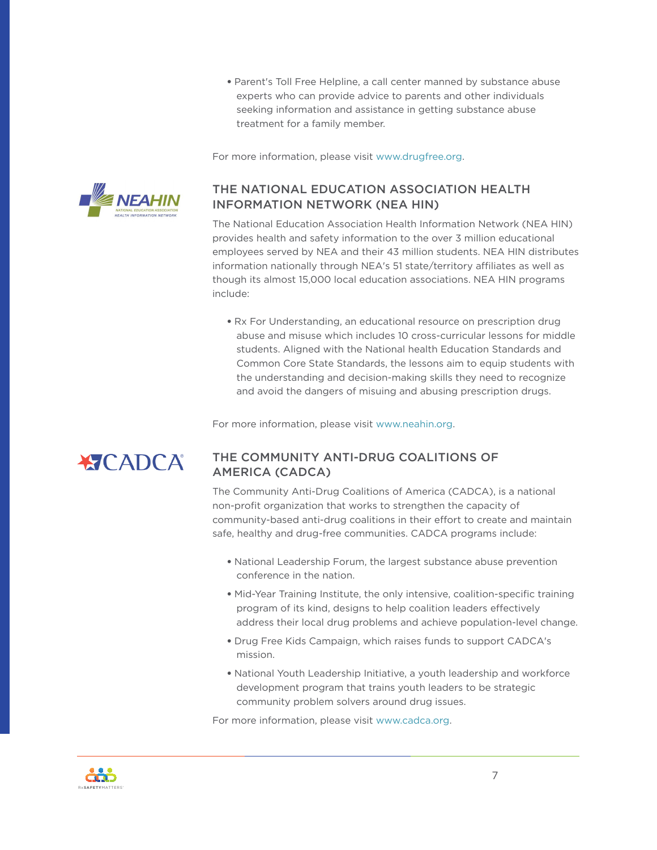• Parent's Toll Free Helpline, a call center manned by substance abuse experts who can provide advice to parents and other individuals seeking information and assistance in getting substance abuse treatment for a family member.

For more information, please visit [www.drugfree.org.](www.drugfree.org)



#### THE NATIONAL EDUCATION ASSOCIATION HEALTH INFORMATION NETWORK (NEA HIN)

The National Education Association Health Information Network (NEA HIN) provides health and safety information to the over 3 million educational employees served by NEA and their 43 million students. NEA HIN distributes information nationally through NEA's 51 state/territory affiliates as well as though its almost 15,000 local education associations. NEA HIN programs include:

• Rx For Understanding, an educational resource on prescription drug abuse and misuse which includes 10 cross-curricular lessons for middle students. Aligned with the National health Education Standards and Common Core State Standards, the lessons aim to equip students with the understanding and decision-making skills they need to recognize and avoid the dangers of misuing and abusing prescription drugs.

For more information, please visit [www.neahin.org](http://www.neahin.org).

#### THE COMMUNITY ANTI-DRUG COALITIONS OF **ATCADCA** AMERICA (CADCA)

The Community Anti-Drug Coalitions of America (CADCA), is a national non-profit organization that works to strengthen the capacity of community-based anti-drug coalitions in their effort to create and maintain safe, healthy and drug-free communities. CADCA programs include:

- National Leadership Forum, the largest substance abuse prevention conference in the nation.
- Mid-Year Training Institute, the only intensive, coalition-specific training program of its kind, designs to help coalition leaders effectively address their local drug problems and achieve population-level change.
- Drug Free Kids Campaign, which raises funds to support CADCA's mission.
- National Youth Leadership Initiative, a youth leadership and workforce development program that trains youth leaders to be strategic community problem solvers around drug issues.

For more information, please visit [www.cadca.org.](http://www.cadca.org)